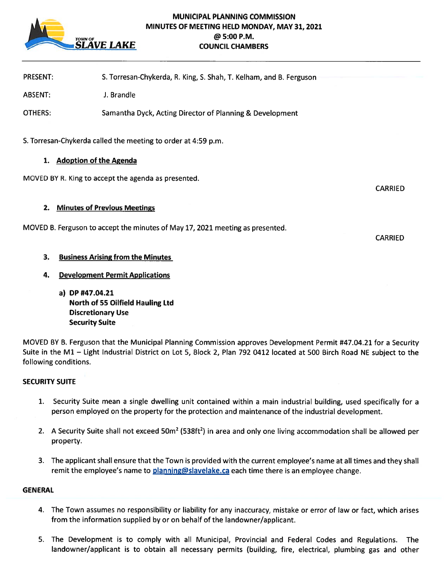

# MUNICIPAL PLANNING COMMISSION MINUTES OF MEETING HELD MONDAY, MAY 31, 2021 @5:00 P.M. **AVE LAKE** COUNCIL CHAMBERS

PRESENT: S. Torresan-Chykerda, R. King, S. Shah, T. Keiham, and B. Ferguson

ABSENT: J. Brandle

OTHERS: Samantha Dyck, Acting Director of Planning & Development

S. Torresan-Chykerda called the meeting to order at 4:59 p.m.

### 1. Adoption of the Agenda

MOVED BY R. King to accep<sup>t</sup> the agenda as presented.

2. Minutes of Previous Meetings

MOVED B. Ferguson to accep<sup>t</sup> the minutes of May 17, 2021 meeting as presented.

# 3. Business Arising from the Minutes

# 4. Development Permit Applications

a) DP #47.04.21 North of 55 Oilfield Hauling Ltd Discretionary Use Security Suite

MOVED BY B. Ferguson that the Municipal Planning Commission approves Development Permit #47.04.21 for <sup>a</sup> Security Suite in the Ml — Light Industrial District on Lot 5, Block 2, Plan 792 <sup>0412</sup> located at <sup>500</sup> Birch Road NE subject to the following conditions.

### SECURITY SUITE

- 1. Security Suite mean <sup>a</sup> single dwelling unit contained within <sup>a</sup> main industrial building, used specifically for <sup>a</sup> person employed on the property for the protection and maintenance of the industrial development.
- 2. A Security Suite shall not exceed 50m<sup>2</sup> (538ft<sup>2</sup>) in area and only one living accommodation shall be allowed per property.
- 3. The applicant shall ensure that the Town is provided with the current employee's name at all times and they shall remit the employee's name to planning@slavelake.ca each time there is an employee change.

#### GENERAL

- 4. The Town assumes no responsibility or liability for any inaccuracy, mistake or error of law or fact, which arises from the information supplied by or on behalf of the landowner/applicant.
- 5. The Development is to comply with all Municipal, Provincial and Federal Codes and Regulations. The landowner/applicant is to obtain all necessary permits (building, fire, electrical, plumbing gas and other

CARRIED

CARRIED